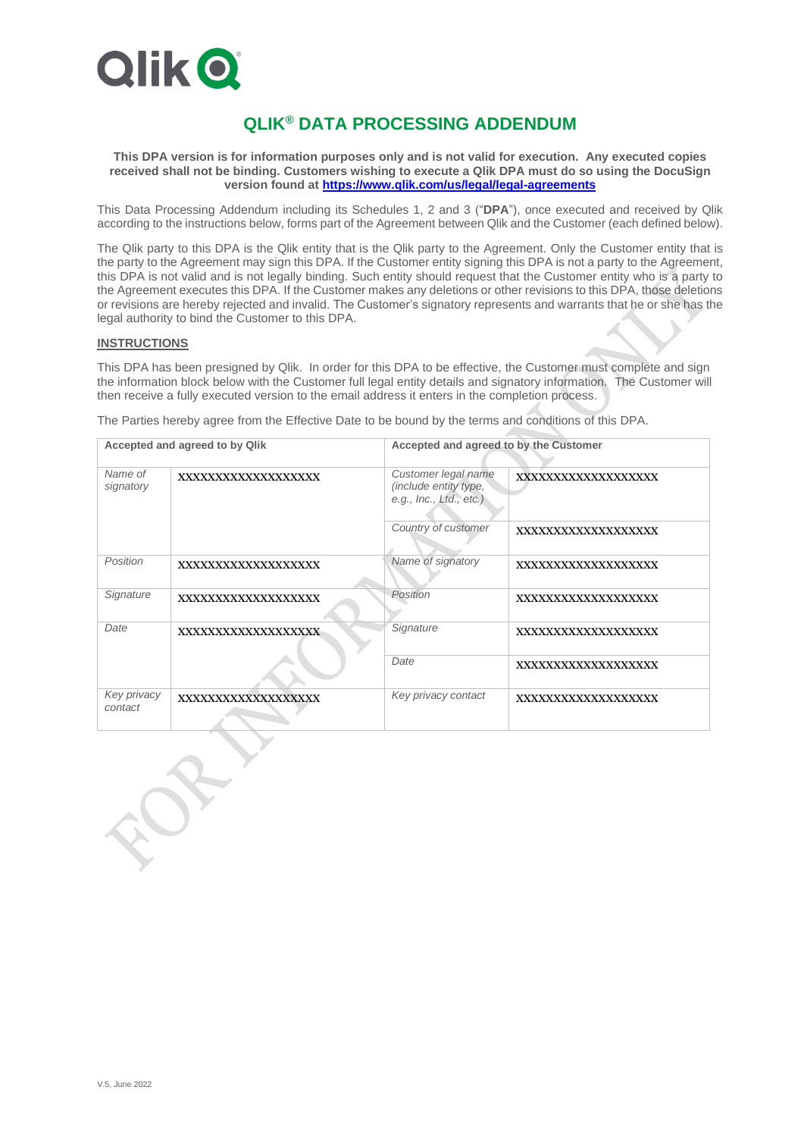

# **QLIK® DATA PROCESSING ADDENDUM**

**This DPA version is for information purposes only and is not valid for execution. Any executed copies received shall not be binding. Customers wishing to execute a Qlik DPA must do so using the DocuSign version found a[t https://www.qlik.com/us/legal/legal-agreements](https://www.qlik.com/us/legal/legal-agreements)**

This Data Processing Addendum including its Schedules 1, 2 and 3 ("**DPA**"), once executed and received by Qlik according to the instructions below, forms part of the Agreement between Qlik and the Customer (each defined below).

The Qlik party to this DPA is the Qlik entity that is the Qlik party to the Agreement. Only the Customer entity that is the party to the Agreement may sign this DPA. If the Customer entity signing this DPA is not a party to the Agreement, this DPA is not valid and is not legally binding. Such entity should request that the Customer entity who is a party to the Agreement executes this DPA. If the Customer makes any deletions or other revisions to this DPA, those deletions or revisions are hereby rejected and invalid. The Customer's signatory represents and warrants that he or she has the legal authority to bind the Customer to this DPA.

# **INSTRUCTIONS**

This DPA has been presigned by Qlik. In order for this DPA to be effective, the Customer must complete and sign the information block below with the Customer full legal entity details and signatory information. The Customer will then receive a fully executed version to the email address it enters in the completion process.

The Parties hereby agree from the Effective Date to be bound by the terms and conditions of this DPA.

| Accepted and agreed to by Qlik |                     | Accepted and agreed to by the Customer                                  |                     |
|--------------------------------|---------------------|-------------------------------------------------------------------------|---------------------|
| Name of<br>signatory           | XXXXXXXXXXXXXXXXXX  | Customer legal name<br>(include entity type,<br>e.g., Inc., Ltd., etc.) | XXXXXXXXXXXXXXXXXX  |
|                                |                     | Country of customer                                                     | XXXXXXXXXXXXXXXXXX  |
| Position                       | XXXXXXXXXXXXXXXXXXX | Name of signatory                                                       | XXXXXXXXXXXXXXXXXXX |
| Signature                      | XXXXXXXXXXXXXXXXXXX | Position                                                                | XXXXXXXXXXXXXXXXXXX |
| Date                           | XXXXXXXXXXXXXXXXXXX | Signature                                                               | XXXXXXXXXXXXXXXXXX  |
|                                |                     | Date                                                                    | XXXXXXXXXXXXXXXXXX  |
| Key privacy<br>contact         | XXXXXXXXXXXXXXXXXXX | Key privacy contact                                                     | XXXXXXXXXXXXXXXXXX  |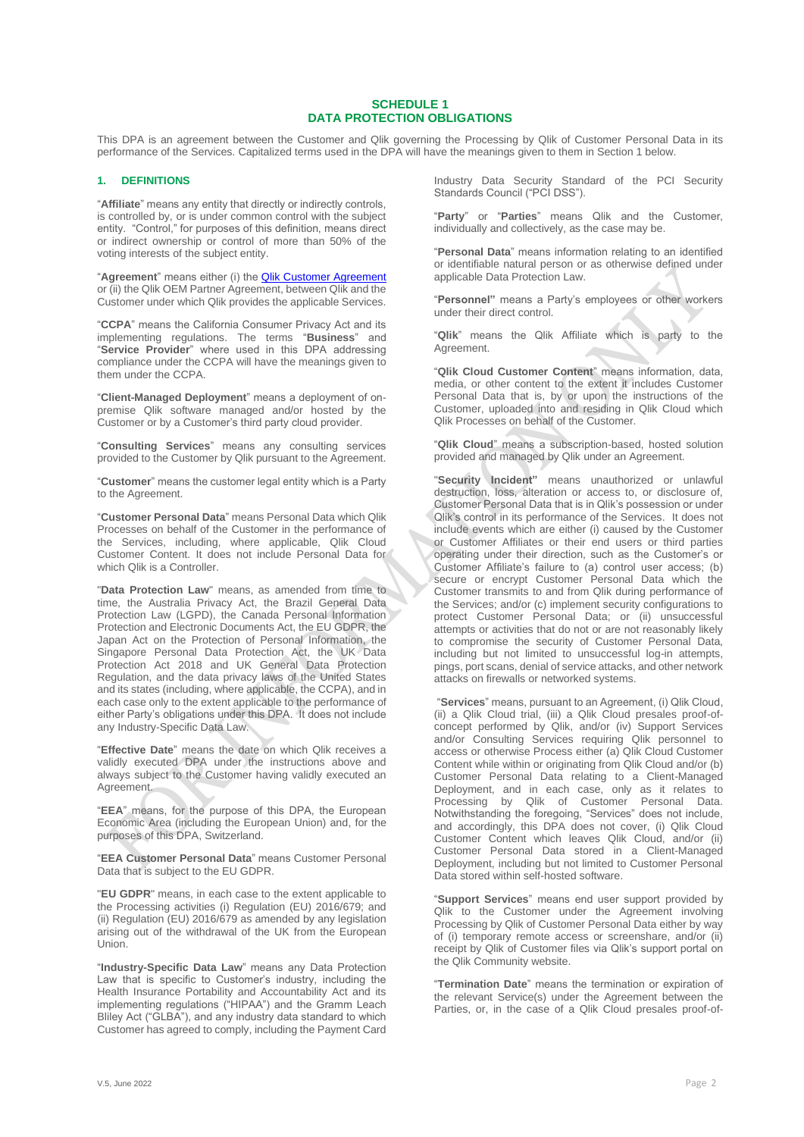## **SCHEDULE 1 DATA PROTECTION OBLIGATIONS**

This DPA is an agreement between the Customer and Qlik governing the Processing by Qlik of Customer Personal Data in its performance of the Services. Capitalized terms used in the DPA will have the meanings given to them in Section 1 below.

## **1. DEFINITIONS**

"**Affiliate**" means any entity that directly or indirectly controls, is controlled by, or is under common control with the subject entity. "Control," for purposes of this definition, means direct or indirect ownership or control of more than 50% of the voting interests of the subject entity.

"**Agreement**" means either (i) th[e Qlik Customer Agreement](https://www.qlik.com/us/-/media/files/legal/license-agreements/qlik/qlik-customer-agreement-english.pdf) or (ii) the Qlik OEM Partner Agreement, between Qlik and the Customer under which Qlik provides the applicable Services.

"**CCPA**" means the California Consumer Privacy Act and its implementing regulations. The terms "**Business**" and "**Service Provider**" where used in this DPA addressing compliance under the CCPA will have the meanings given to them under the CCPA.

"**Client-Managed Deployment**" means a deployment of onpremise Qlik software managed and/or hosted by the Customer or by a Customer's third party cloud provider.

"**Consulting Services**" means any consulting services provided to the Customer by Qlik pursuant to the Agreement.

"**Customer**" means the customer legal entity which is a Party to the Agreement.

"**Customer Personal Data**" means Personal Data which Qlik Processes on behalf of the Customer in the performance of the Services, including, where applicable, Qlik Cloud Customer Content. It does not include Personal Data for which Olik is a Controller

"**Data Protection Law**" means, as amended from time to time, the Australia Privacy Act, the Brazil General Data Protection Law (LGPD), the Canada Personal Information Protection and Electronic Documents Act, the EU GDPR, the Japan Act on the Protection of Personal Information, the Singapore Personal Data Protection Act, the UK Data Protection Act 2018 and UK General Data Protection Regulation, and the data privacy laws of the United States and its states (including, where applicable, the CCPA), and in each case only to the extent applicable to the performance of either Party's obligations under this DPA. It does not include any Industry-Specific Data Law.

"**Effective Date**" means the date on which Qlik receives a validly executed DPA under the instructions above and always subject to the Customer having validly executed an Agreement.

"**EEA**" means, for the purpose of this DPA, the European Economic Area (including the European Union) and, for the purposes of this DPA, Switzerland.

"**EEA Customer Personal Data**" means Customer Personal Data that is subject to the EU GDPR.

"**EU GDPR**" means, in each case to the extent applicable to the Processing activities (i) Regulation (EU) 2016/679; and (ii) Regulation (EU) 2016/679 as amended by any legislation arising out of the withdrawal of the UK from the European Union.

"**Industry-Specific Data Law**" means any Data Protection Law that is specific to Customer's industry, including the Health Insurance Portability and Accountability Act and its implementing regulations ("HIPAA") and the Gramm Leach Bliley Act ("GLBA"), and any industry data standard to which Customer has agreed to comply, including the Payment Card

Industry Data Security Standard of the PCI Security Standards Council ("PCI DSS").

"**Party**" or "**Parties**" means Qlik and the Customer, individually and collectively, as the case may be.

"**Personal Data**" means information relating to an identified or identifiable natural person or as otherwise defined under applicable Data Protection Law.

"**Personnel"** means a Party's employees or other workers under their direct control.

"**Qlik**" means the Qlik Affiliate which is party to the Agreement.

"**Qlik Cloud Customer Content**" means information, data, media, or other content to the extent it includes Customer Personal Data that is, by or upon the instructions of the Customer, uploaded into and residing in Qlik Cloud which Qlik Processes on behalf of the Customer.

"**Qlik Cloud**" means a subscription-based, hosted solution provided and managed by Qlik under an Agreement.

"**Security Incident"** means unauthorized or unlawful destruction, loss, alteration or access to, or disclosure of, Customer Personal Data that is in Qlik's possession or under Qlik's control in its performance of the Services. It does not include events which are either (i) caused by the Customer or Customer Affiliates or their end users or third parties operating under their direction, such as the Customer's or Customer Affiliate's failure to (a) control user access; (b) secure or encrypt Customer Personal Data which the Customer transmits to and from Qlik during performance of the Services; and/or (c) implement security configurations to protect Customer Personal Data; or (ii) unsuccessful attempts or activities that do not or are not reasonably likely to compromise the security of Customer Personal Data, including but not limited to unsuccessful log-in attempts, pings, port scans, denial of service attacks, and other network attacks on firewalls or networked systems.

"**Services**" means, pursuant to an Agreement, (i) Qlik Cloud, (ii) a Qlik Cloud trial, (iii) a Qlik Cloud presales proof-ofconcept performed by Qlik, and/or (iv) Support Services and/or Consulting Services requiring Qlik personnel to access or otherwise Process either (a) Qlik Cloud Customer Content while within or originating from Qlik Cloud and/or (b) Customer Personal Data relating to a Client-Managed Deployment, and in each case, only as it relates to Processing by Qlik of Customer Personal Data. Notwithstanding the foregoing, "Services" does not include, and accordingly, this DPA does not cover, (i) Qlik Cloud Customer Content which leaves Qlik Cloud, and/or (ii) Customer Personal Data stored in a Client-Managed Deployment, including but not limited to Customer Personal Data stored within self-hosted software.

"**Support Services**" means end user support provided by Qlik to the Customer under the Agreement involving Processing by Qlik of Customer Personal Data either by way of (i) temporary remote access or screenshare, and/or (ii) receipt by Qlik of Customer files via Qlik's support portal on the Qlik Community website.

"**Termination Date**" means the termination or expiration of the relevant Service(s) under the Agreement between the Parties, or, in the case of a Qlik Cloud presales proof-of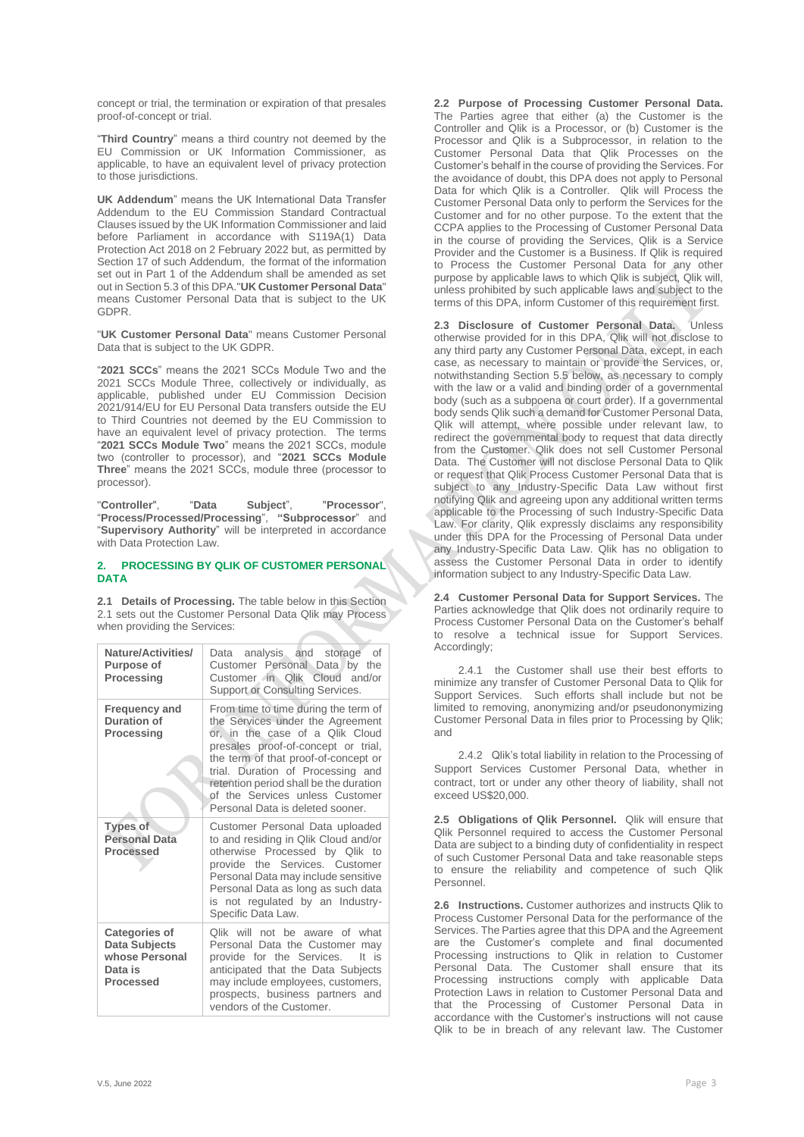concept or trial, the termination or expiration of that presales proof-of-concept or trial.

"**Third Country**" means a third country not deemed by the EU Commission or UK Information Commissioner, as applicable, to have an equivalent level of privacy protection to those jurisdictions.

**UK Addendum**" means the UK International Data Transfer Addendum to the EU Commission Standard Contractual Clauses issued by the UK Information Commissioner and laid before Parliament in accordance with S119A(1) Data Protection Act 2018 on 2 February 2022 but, as permitted by Section 17 of such Addendum, the format of the information set out in Part 1 of the Addendum shall be amended as set out in Section 5.3 of this DPA."**UK Customer Personal Data**" means Customer Personal Data that is subject to the UK GDPR.

"**UK Customer Personal Data**" means Customer Personal Data that is subject to the UK GDPR.

"**2021 SCCs**" means the 2021 SCCs Module Two and the 2021 SCCs Module Three, collectively or individually, as applicable, published under EU Commission Decision 2021/914/EU for EU Personal Data transfers outside the EU to Third Countries not deemed by the EU Commission to have an equivalent level of privacy protection. The terms "**2021 SCCs Module Two**" means the 2021 SCCs, module two (controller to processor), and "**2021 SCCs Module Three**" means the 2021 SCCs, module three (processor to processor).

"**Controller**", "**Data Subject**", "**Processor**", "**Process/Processed/Processing**", **"Subprocessor**" and "**Supervisory Authority**" will be interpreted in accordance with Data Protection Law.

#### **2. PROCESSING BY QLIK OF CUSTOMER PERSONAL DATA**

**2.1 Details of Processing.** The table below in this Section 2.1 sets out the Customer Personal Data Qlik may Process when providing the Services:

| Nature/Activities/<br><b>Purpose of</b><br><b>Processing</b>                                  | analysis and storage<br>οf<br>Data<br>Customer Personal Data by the<br>Customer in Olik<br>Cloud and/or<br>Support or Consulting Services.                                                                                                                                                                                                       |
|-----------------------------------------------------------------------------------------------|--------------------------------------------------------------------------------------------------------------------------------------------------------------------------------------------------------------------------------------------------------------------------------------------------------------------------------------------------|
| <b>Frequency and</b><br>Duration of<br><b>Processing</b>                                      | From time to time during the term of<br>the Services under the Agreement<br>or, in the case of a Qlik Cloud<br>presales proof-of-concept or trial,<br>the term of that proof-of-concept or<br>trial. Duration of Processing and<br>retention period shall be the duration<br>of the Services unless Customer<br>Personal Data is deleted sooner. |
| <b>Types of</b><br><b>Personal Data</b><br><b>Processed</b>                                   | Customer Personal Data uploaded<br>to and residing in Qlik Cloud and/or<br>otherwise Processed by Qlik to<br>provide the Services. Customer<br>Personal Data may include sensitive<br>Personal Data as long as such data<br>is not regulated by an Industry-<br>Specific Data Law.                                                               |
| <b>Categories of</b><br><b>Data Subjects</b><br>whose Personal<br>Data is<br><b>Processed</b> | Olik will not be aware of what<br>Personal Data the Customer may<br>provide for the Services.<br>It is<br>anticipated that the Data Subjects<br>may include employees, customers,<br>prospects, business partners and<br>vendors of the Customer.                                                                                                |

**2.2 Purpose of Processing Customer Personal Data.** The Parties agree that either (a) the Customer is the Controller and Qlik is a Processor, or (b) Customer is the Processor and Qlik is a Subprocessor, in relation to the Customer Personal Data that Qlik Processes on the Customer's behalf in the course of providing the Services. For the avoidance of doubt, this DPA does not apply to Personal Data for which Olik is a Controller. Olik will Process the Customer Personal Data only to perform the Services for the Customer and for no other purpose. To the extent that the CCPA applies to the Processing of Customer Personal Data in the course of providing the Services, Qlik is a Service Provider and the Customer is a Business. If Qlik is required to Process the Customer Personal Data for any other purpose by applicable laws to which Qlik is subject, Qlik will, unless prohibited by such applicable laws and subject to the terms of this DPA, inform Customer of this requirement first.

**2.3 Disclosure of Customer Personal Data.** Unless otherwise provided for in this DPA, Qlik will not disclose to any third party any Customer Personal Data, except, in each case, as necessary to maintain or provide the Services, or, notwithstanding Section 5.5 below, as necessary to comply with the law or a valid and binding order of a governmental body (such as a subpoena or court order). If a governmental body sends Qlik such a demand for Customer Personal Data, Qlik will attempt, where possible under relevant law, to redirect the governmental body to request that data directly from the Customer. Qlik does not sell Customer Personal Data. The Customer will not disclose Personal Data to Qlik or request that Qlik Process Customer Personal Data that is subject to any Industry-Specific Data Law without first notifying Qlik and agreeing upon any additional written terms applicable to the Processing of such Industry-Specific Data Law. For clarity, Qlik expressly disclaims any responsibility under this DPA for the Processing of Personal Data under any Industry-Specific Data Law. Qlik has no obligation to assess the Customer Personal Data in order to identify information subject to any Industry-Specific Data Law.

**2.4 Customer Personal Data for Support Services.** The Parties acknowledge that Qlik does not ordinarily require to Process Customer Personal Data on the Customer's behalf to resolve a technical issue for Support Services. Accordingly;

2.4.1 the Customer shall use their best efforts to minimize any transfer of Customer Personal Data to Qlik for Support Services. Such efforts shall include but not be limited to removing, anonymizing and/or pseudononymizing Customer Personal Data in files prior to Processing by Qlik; and

2.4.2 Qlik's total liability in relation to the Processing of Support Services Customer Personal Data, whether in contract, tort or under any other theory of liability, shall not exceed US\$20,000.

**2.5 Obligations of Qlik Personnel.** Qlik will ensure that Qlik Personnel required to access the Customer Personal Data are subject to a binding duty of confidentiality in respect of such Customer Personal Data and take reasonable steps to ensure the reliability and competence of such Qlik Personnel.

**2.6 Instructions.** Customer authorizes and instructs Qlik to Process Customer Personal Data for the performance of the Services. The Parties agree that this DPA and the Agreement are the Customer's complete and final documented Processing instructions to Qlik in relation to Customer Personal Data. The Customer shall ensure that its Processing instructions comply with applicable Data Protection Laws in relation to Customer Personal Data and that the Processing of Customer Personal Data in accordance with the Customer's instructions will not cause Qlik to be in breach of any relevant law. The Customer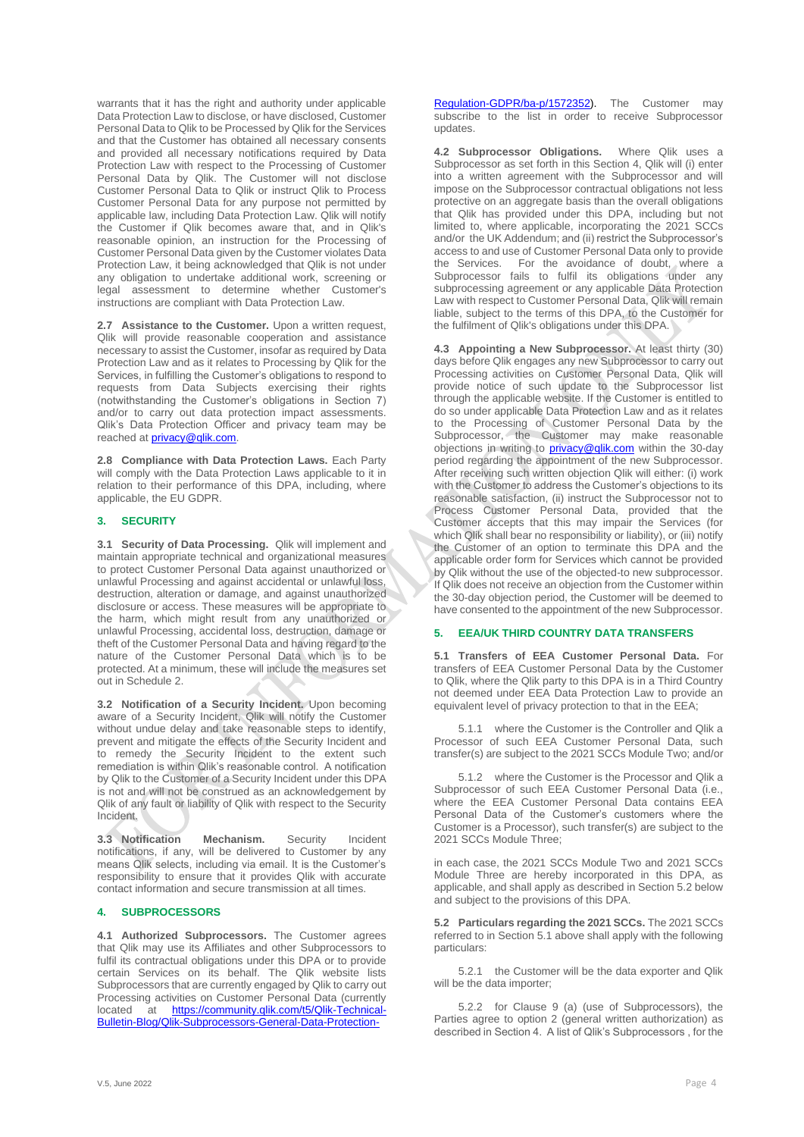warrants that it has the right and authority under applicable Data Protection Law to disclose, or have disclosed, Customer Personal Data to Qlik to be Processed by Qlik for the Services and that the Customer has obtained all necessary consents and provided all necessary notifications required by Data Protection Law with respect to the Processing of Customer Personal Data by Qlik. The Customer will not disclose Customer Personal Data to Qlik or instruct Qlik to Process Customer Personal Data for any purpose not permitted by applicable law, including Data Protection Law. Qlik will notify the Customer if Qlik becomes aware that, and in Qlik's reasonable opinion, an instruction for the Processing of Customer Personal Data given by the Customer violates Data Protection Law, it being acknowledged that Qlik is not under any obligation to undertake additional work, screening or legal assessment to determine whether Customer's instructions are compliant with Data Protection Law.

**2.7 Assistance to the Customer.** Upon a written request, Qlik will provide reasonable cooperation and assistance necessary to assist the Customer, insofar as required by Data Protection Law and as it relates to Processing by Qlik for the Services, in fulfilling the Customer's obligations to respond to requests from Data Subjects exercising their rights (notwithstanding the Customer's obligations in Section 7) and/or to carry out data protection impact assessments. Qlik's Data Protection Officer and privacy team may be reached at [privacy@qlik.com.](mailto:privacy@qlik.com)

**2.8 Compliance with Data Protection Laws.** Each Party will comply with the Data Protection Laws applicable to it in relation to their performance of this DPA, including, where applicable, the EU GDPR.

#### **3. SECURITY**

**3.1 Security of Data Processing.** Qlik will implement and maintain appropriate technical and organizational measures to protect Customer Personal Data against unauthorized or unlawful Processing and against accidental or unlawful loss, destruction, alteration or damage, and against unauthorized disclosure or access. These measures will be appropriate to the harm, which might result from any unauthorized or unlawful Processing, accidental loss, destruction, damage or theft of the Customer Personal Data and having regard to the nature of the Customer Personal Data which is to be protected. At a minimum, these will include the measures set out in Schedule 2.

**3.2 Notification of a Security Incident.** Upon becoming aware of a Security Incident, Qlik will notify the Customer without undue delay and take reasonable steps to identify, prevent and mitigate the effects of the Security Incident and to remedy the Security Incident to the extent such remediation is within Qlik's reasonable control. A notification by Qlik to the Customer of a Security Incident under this DPA is not and will not be construed as an acknowledgement by Qlik of any fault or liability of Qlik with respect to the Security Incident.

**3.3 Notification Mechanism.** Security Incident notifications, if any, will be delivered to Customer by any means Qlik selects, including via email. It is the Customer's responsibility to ensure that it provides Qlik with accurate contact information and secure transmission at all times.

# **4. SUBPROCESSORS**

**4.1 Authorized Subprocessors.** The Customer agrees that Qlik may use its Affiliates and other Subprocessors to fulfil its contractual obligations under this DPA or to provide certain Services on its behalf. The Qlik website lists Subprocessors that are currently engaged by Qlik to carry out Processing activities on Customer Personal Data (currently<br>located at https://community.glik.com/t5/Olik-Technical[https://community.qlik.com/t5/Qlik-Technical-](https://community.qlik.com/t5/Qlik-Technical-Bulletin-Blog/Qlik-Subprocessors-General-Data-Protection-Regulation-GDPR/ba-p/1572352)[Bulletin-Blog/Qlik-Subprocessors-General-Data-Protection-](https://community.qlik.com/t5/Qlik-Technical-Bulletin-Blog/Qlik-Subprocessors-General-Data-Protection-Regulation-GDPR/ba-p/1572352) [Regulation-GDPR/ba-p/1572352\)](https://community.qlik.com/t5/Qlik-Technical-Bulletin-Blog/Qlik-Subprocessors-General-Data-Protection-Regulation-GDPR/ba-p/1572352). The Customer may subscribe to the list in order to receive Subprocessor updates.

**4.2 Subprocessor Obligations.** Where Qlik uses a Subprocessor as set forth in this Section 4, Qlik will (i) enter into a written agreement with the Subprocessor and will impose on the Subprocessor contractual obligations not less protective on an aggregate basis than the overall obligations that Qlik has provided under this DPA, including but not limited to, where applicable, incorporating the 2021 SCCs and/or the UK Addendum; and (ii) restrict the Subprocessor's access to and use of Customer Personal Data only to provide<br>the Services. For the avoidance of doubt, where a For the avoidance of doubt, where a Subprocessor fails to fulfil its obligations under any subprocessing agreement or any applicable Data Protection Law with respect to Customer Personal Data, Qlik will remain liable, subject to the terms of this DPA, to the Customer for the fulfilment of Qlik's obligations under this DPA.

**4.3 Appointing a New Subprocessor.** At least thirty (30) days before Qlik engages any new Subprocessor to carry out Processing activities on Customer Personal Data, Qlik will provide notice of such update to the Subprocessor list through the applicable website. If the Customer is entitled to do so under applicable Data Protection Law and as it relates to the Processing of Customer Personal Data by the Subprocessor, the Customer may make reasonable objections in writing to [privacy@qlik.com](mailto:privacy@qlik.com) within the 30-day period regarding the appointment of the new Subprocessor. After receiving such written objection Qlik will either: (i) work with the Customer to address the Customer's objections to its reasonable satisfaction, (ii) instruct the Subprocessor not to Process Customer Personal Data, provided that the Customer accepts that this may impair the Services (for which Qlik shall bear no responsibility or liability), or (iii) notify the Customer of an option to terminate this DPA and the applicable order form for Services which cannot be provided by Qlik without the use of the objected-to new subprocessor. If Qlik does not receive an objection from the Customer within the 30-day objection period, the Customer will be deemed to have consented to the appointment of the new Subprocessor.

#### **5. EEA/UK THIRD COUNTRY DATA TRANSFERS**

**5.1 Transfers of EEA Customer Personal Data.** For transfers of EEA Customer Personal Data by the Customer to Qlik, where the Qlik party to this DPA is in a Third Country not deemed under EEA Data Protection Law to provide an equivalent level of privacy protection to that in the EEA;

5.1.1 where the Customer is the Controller and Qlik a Processor of such EEA Customer Personal Data, such transfer(s) are subject to th[e 2021 SCCs Module Two;](https://eur-lex.europa.eu/eli/dec_impl/2021/914/oj?uri=CELEX:32021D0914) and/or

5.1.2 where the Customer is the Processor and Qlik a Subprocessor of such EEA Customer Personal Data (i.e., where the EEA Customer Personal Data contains EEA Personal Data of the Customer's customers where the Customer is a Processor), such transfer(s) are subject to the 2021 SCCs Module Three;

in each case, the 2021 SCCs Module Two and 2021 SCCs Module Three are hereby incorporated in this DPA, as applicable, and shall apply as described in Section 5.2 below and subject to the provisions of this DPA.

**5.2 Particulars regarding the 2021 SCCs.** The 2021 SCCs referred to in Section 5.1 above shall apply with the following particulars:

5.2.1 the Customer will be the data exporter and Qlik will be the data importer;

5.2.2 for Clause 9 (a) (use of Subprocessors), the Parties agree to option 2 (general written authorization) as described in Section 4. A list of Qlik's Subprocessors , for the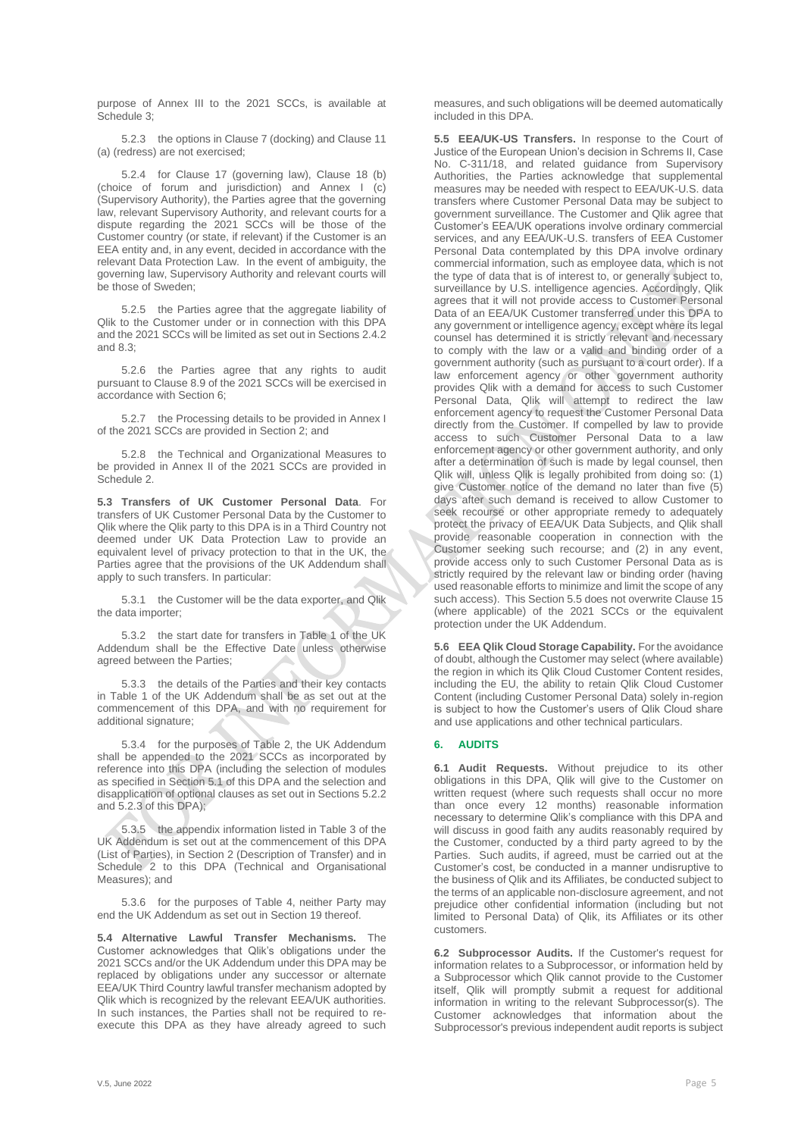purpose of Annex III to the 2021 SCCs, is available at Schedule 3;

5.2.3 the options in Clause 7 (docking) and Clause 11 (a) (redress) are not exercised;

5.2.4 for Clause 17 (governing law), Clause 18 (b) (choice of forum and jurisdiction) and Annex I (c) (Supervisory Authority), the Parties agree that the governing law, relevant Supervisory Authority, and relevant courts for a dispute regarding the 2021 SCCs will be those of the Customer country (or state, if relevant) if the Customer is an EEA entity and, in any event, decided in accordance with the relevant Data Protection Law. In the event of ambiguity, the governing law, Supervisory Authority and relevant courts will be those of Sweden;

5.2.5 the Parties agree that the aggregate liability of Qlik to the Customer under or in connection with this DPA and the 2021 SCCs will be limited as set out in Sections 2.4.2 and 8.3;

5.2.6 the Parties agree that any rights to audit pursuant to Clause 8.9 of the 2021 SCCs will be exercised in accordance with Section 6;

5.2.7 the Processing details to be provided in Annex I of the 2021 SCCs are provided in Section 2; and

5.2.8 the Technical and Organizational Measures to be provided in Annex II of the 2021 SCCs are provided in Schedule 2.

**5.3 Transfers of UK Customer Personal Data**. For transfers of UK Customer Personal Data by the Customer to Qlik where the Qlik party to this DPA is in a Third Country not deemed under UK Data Protection Law to provide an equivalent level of privacy protection to that in the UK, the Parties agree that the provisions of the UK Addendum shall apply to such transfers. In particular:

5.3.1 the Customer will be the data exporter, and Qlik the data importer;

5.3.2 the start date for transfers in Table 1 of the UK Addendum shall be the Effective Date unless otherwise agreed between the Parties;

5.3.3 the details of the Parties and their key contacts in Table 1 of the UK Addendum shall be as set out at the commencement of this DPA, and with no requirement for additional signature;

5.3.4 for the purposes of Table 2, the UK Addendum shall be appended to the 2021 SCCs as incorporated by reference into this DPA (including the selection of modules as specified in Section 5.1 of this DPA and the selection and disapplication of optional clauses as set out in Sections 5.2.2 and 5.2.3 of this DPA);

5.3.5 the appendix information listed in Table 3 of the UK Addendum is set out at the commencement of this DPA (List of Parties), in Section 2 (Description of Transfer) and in Schedule 2 to this DPA (Technical and Organisational Measures); and

5.3.6 for the purposes of Table 4, neither Party may end the UK Addendum as set out in Section 19 thereof.

**5.4 Alternative Lawful Transfer Mechanisms.** The Customer acknowledges that Qlik's obligations under the 2021 SCCs and/or the UK Addendum under this DPA may be replaced by obligations under any successor or alternate EEA/UK Third Country lawful transfer mechanism adopted by Qlik which is recognized by the relevant EEA/UK authorities. In such instances, the Parties shall not be required to reexecute this DPA as they have already agreed to such

measures, and such obligations will be deemed automatically included in this DPA.

**5.5 EEA/UK-US Transfers.** In response to the Court of Justice of the European Union's decision in Schrems II, Case No. C-311/18, and related guidance from Supervisory Authorities, the Parties acknowledge that supplemental measures may be needed with respect to EEA/UK-U.S. data transfers where Customer Personal Data may be subject to government surveillance. The Customer and Qlik agree that Customer's EEA/UK operations involve ordinary commercial services, and any EEA/UK-U.S. transfers of EEA Customer Personal Data contemplated by this DPA involve ordinary commercial information, such as employee data, which is not the type of data that is of interest to, or generally subject to, surveillance by U.S. intelligence agencies. Accordingly, Qlik agrees that it will not provide access to Customer Personal Data of an EEA/UK Customer transferred under this DPA to any government or intelligence agency, except where its legal counsel has determined it is strictly relevant and necessary to comply with the law or a valid and binding order of a government authority (such as pursuant to a court order). If a law enforcement agency or other government authority provides Qlik with a demand for access to such Customer Personal Data, Qlik will attempt to redirect the law enforcement agency to request the Customer Personal Data directly from the Customer. If compelled by law to provide access to such Customer Personal Data to a law enforcement agency or other government authority, and only after a determination of such is made by legal counsel, then Qlik will, unless Qlik is legally prohibited from doing so: (1) give Customer notice of the demand no later than five (5) days after such demand is received to allow Customer to seek recourse or other appropriate remedy to adequately protect the privacy of EEA/UK Data Subjects, and Qlik shall provide reasonable cooperation in connection with the Customer seeking such recourse; and (2) in any event, provide access only to such Customer Personal Data as is strictly required by the relevant law or binding order (having used reasonable efforts to minimize and limit the scope of any such access). This Section 5.5 does not overwrite Clause 15 (where applicable) of the 2021 SCCs or the equivalent protection under the UK Addendum.

**5.6 EEA Qlik Cloud Storage Capability.** For the avoidance of doubt, although the Customer may select (where available) the region in which its Qlik Cloud Customer Content resides, including the EU, the ability to retain Qlik Cloud Customer Content (including Customer Personal Data) solely in-region is subject to how the Customer's users of Qlik Cloud share and use applications and other technical particulars.

## **6. AUDITS**

**6.1 Audit Requests.** Without prejudice to its other obligations in this DPA, Qlik will give to the Customer on written request (where such requests shall occur no more than once every 12 months) reasonable information necessary to determine Qlik's compliance with this DPA and will discuss in good faith any audits reasonably required by the Customer, conducted by a third party agreed to by the Parties. Such audits, if agreed, must be carried out at the Customer's cost, be conducted in a manner undisruptive to the business of Qlik and its Affiliates, be conducted subject to the terms of an applicable non-disclosure agreement, and not prejudice other confidential information (including but not limited to Personal Data) of Qlik, its Affiliates or its other customers.

**6.2 Subprocessor Audits.** If the Customer's request for information relates to a Subprocessor, or information held by a Subprocessor which Qlik cannot provide to the Customer itself, Qlik will promptly submit a request for additional information in writing to the relevant Subprocessor(s). The Customer acknowledges that information about the Subprocessor's previous independent audit reports is subject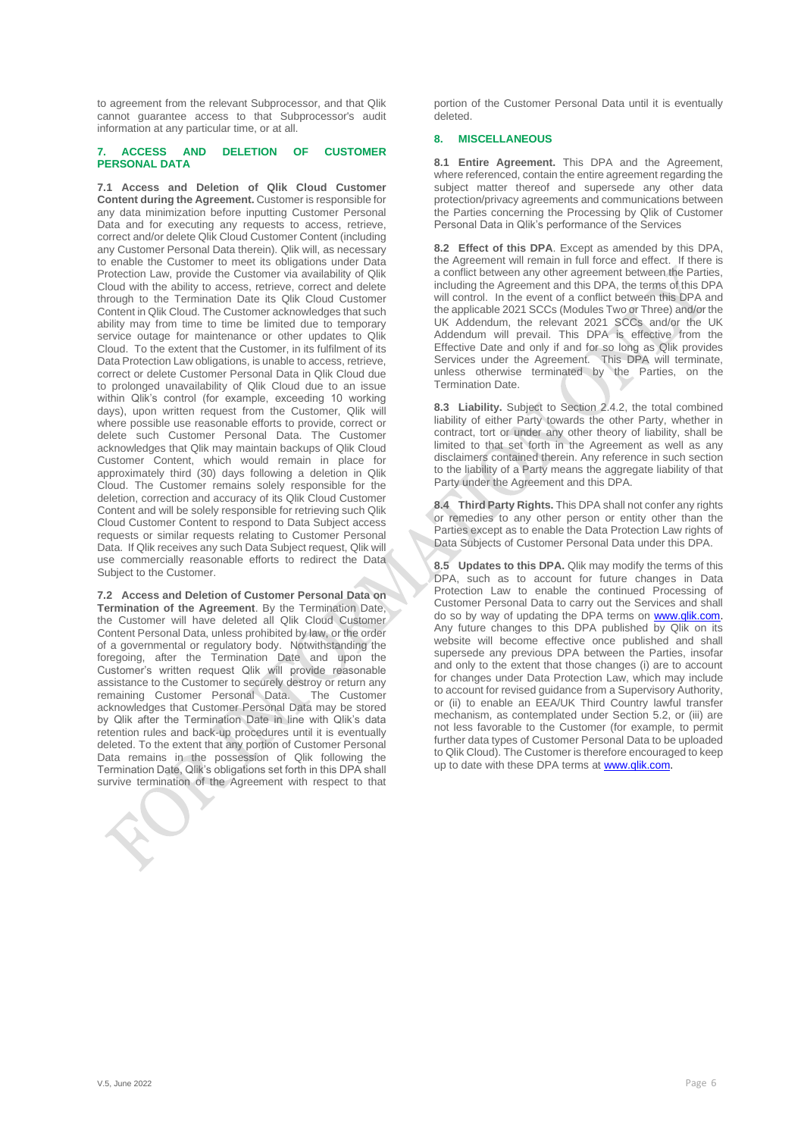to agreement from the relevant Subprocessor, and that Qlik cannot guarantee access to that Subprocessor's audit information at any particular time, or at all.

## **7. ACCESS AND DELETION OF CUSTOMER PERSONAL DATA**

**7.1 Access and Deletion of Qlik Cloud Customer Content during the Agreement.** Customer is responsible for any data minimization before inputting Customer Personal Data and for executing any requests to access, retrieve, correct and/or delete Qlik Cloud Customer Content (including any Customer Personal Data therein). Qlik will, as necessary to enable the Customer to meet its obligations under Data Protection Law, provide the Customer via availability of Qlik Cloud with the ability to access, retrieve, correct and delete through to the Termination Date its Qlik Cloud Customer Content in Qlik Cloud. The Customer acknowledges that such ability may from time to time be limited due to temporary service outage for maintenance or other updates to Qlik Cloud. To the extent that the Customer, in its fulfilment of its Data Protection Law obligations, is unable to access, retrieve, correct or delete Customer Personal Data in Qlik Cloud due to prolonged unavailability of Qlik Cloud due to an issue within Qlik's control (for example, exceeding 10 working days), upon written request from the Customer, Qlik will where possible use reasonable efforts to provide, correct or delete such Customer Personal Data. The Customer acknowledges that Qlik may maintain backups of Qlik Cloud Customer Content, which would remain in place for approximately third (30) days following a deletion in Qlik Cloud. The Customer remains solely responsible for the deletion, correction and accuracy of its Qlik Cloud Customer Content and will be solely responsible for retrieving such Qlik Cloud Customer Content to respond to Data Subject access requests or similar requests relating to Customer Personal Data. If Qlik receives any such Data Subject request, Qlik will use commercially reasonable efforts to redirect the Data Subject to the Customer.

**7.2 Access and Deletion of Customer Personal Data on Termination of the Agreement**. By the Termination Date, the Customer will have deleted all Qlik Cloud Customer Content Personal Data, unless prohibited by law, or the order of a governmental or regulatory body. Notwithstanding the foregoing, after the Termination Date and upon the Customer's written request Qlik will provide reasonable assistance to the Customer to securely destroy or return any<br>remaining Customer Personal Data The Customer remaining Customer Personal Data. acknowledges that Customer Personal Data may be stored by Qlik after the Termination Date in line with Qlik's data retention rules and back-up procedures until it is eventually deleted. To the extent that any portion of Customer Personal Data remains in the possession of Qlik following the Termination Date, Qlik's obligations set forth in this DPA shall survive termination of the Agreement with respect to that

portion of the Customer Personal Data until it is eventually deleted.

# **8. MISCELLANEOUS**

**8.1 Entire Agreement.** This DPA and the Agreement, where referenced, contain the entire agreement regarding the subject matter thereof and supersede any other data protection/privacy agreements and communications between the Parties concerning the Processing by Qlik of Customer Personal Data in Qlik's performance of the Services

**8.2 Effect of this DPA**. Except as amended by this DPA, the Agreement will remain in full force and effect. If there is a conflict between any other agreement between the Parties, including the Agreement and this DPA, the terms of this DPA will control. In the event of a conflict between this DPA and the applicable 2021 SCCs (Modules Two or Three) and/or the UK Addendum, the relevant 2021 SCCs and/or the UK Addendum will prevail. This DPA is effective from the Effective Date and only if and for so long as Qlik provides Services under the Agreement. This DPA will terminate, unless otherwise terminated by the Parties, on the Termination Date.

**8.3 Liability.** Subject to Section 2.4.2, the total combined liability of either Party towards the other Party, whether in contract, tort or under any other theory of liability, shall be limited to that set forth in the Agreement as well as any disclaimers contained therein. Any reference in such section to the liability of a Party means the aggregate liability of that Party under the Agreement and this DPA.

**8.4 Third Party Rights.** This DPA shall not confer any rights or remedies to any other person or entity other than the Parties except as to enable the Data Protection Law rights of Data Subjects of Customer Personal Data under this DPA.

**8.5 Updates to this DPA.** Qlik may modify the terms of this DPA, such as to account for future changes in Data Protection Law to enable the continued Processing of Customer Personal Data to carry out the Services and shall do so by way of updating the DPA terms on www.qlik.com. Any future changes to this DPA published by Qlik on its website will become effective once published and shall supersede any previous DPA between the Parties, insofar and only to the extent that those changes (i) are to account for changes under Data Protection Law, which may include to account for revised guidance from a Supervisory Authority, or (ii) to enable an EEA/UK Third Country lawful transfer mechanism, as contemplated under Section 5.2, or (iii) are not less favorable to the Customer (for example, to permit further data types of Customer Personal Data to be uploaded to Qlik Cloud). The Customer is therefore encouraged to keep up to date with these DPA terms a[t www.qlik.com.](http://www.qlik.com/)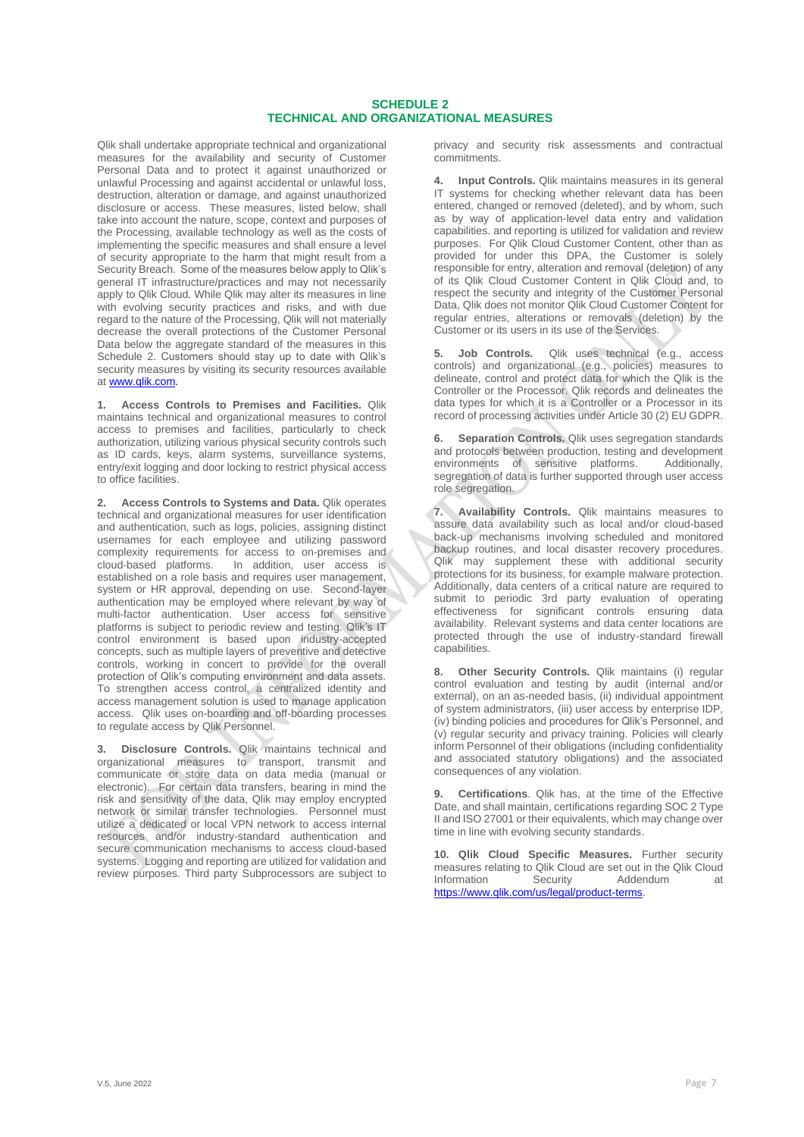# **SCHEDULE 2 TECHNICAL AND ORGANIZATIONAL MEASURES**

Qlik shall undertake appropriate technical and organizational measures for the availability and security of Customer Personal Data and to protect it against unauthorized or unlawful Processing and against accidental or unlawful loss, destruction, alteration or damage, and against unauthorized disclosure or access. These measures, listed below, shall take into account the nature, scope, context and purposes of the Processing, available technology as well as the costs of implementing the specific measures and shall ensure a level of security appropriate to the harm that might result from a Security Breach. Some of the measures below apply to Qlik's general IT infrastructure/practices and may not necessarily apply to Qlik Cloud. While Qlik may alter its measures in line with evolving security practices and risks, and with due regard to the nature of the Processing, Qlik will not materially decrease the overall protections of the Customer Personal Data below the aggregate standard of the measures in this Schedule 2. Customers should stay up to date with Qlik's security measures by visiting its security resources available at [www.qlik.com.](http://www.qlik.com/)

**1. Access Controls to Premises and Facilities.** Qlik maintains technical and organizational measures to control access to premises and facilities, particularly to check authorization, utilizing various physical security controls such as ID cards, keys, alarm systems, surveillance systems, entry/exit logging and door locking to restrict physical access to office facilities.

**2. Access Controls to Systems and Data.** Qlik operates technical and organizational measures for user identification and authentication, such as logs, policies, assigning distinct usernames for each employee and utilizing password complexity requirements for access to on-premises and cloud-based platforms. In addition, user access is established on a role basis and requires user management, system or HR approval, depending on use. Second-layer authentication may be employed where relevant by way of multi-factor authentication. User access for sensitive platforms is subject to periodic review and testing. Qlik's IT control environment is based upon industry-accepted concepts, such as multiple layers of preventive and detective controls, working in concert to provide for the overall protection of Qlik's computing environment and data assets. To strengthen access control, a centralized identity and access management solution is used to manage application access. Qlik uses on-boarding and off-boarding processes to regulate access by Qlik Personnel.

**3. Disclosure Controls.** Qlik maintains technical and organizational measures to transport, transmit and communicate or store data on data media (manual or electronic). For certain data transfers, bearing in mind the risk and sensitivity of the data, Qlik may employ encrypted network or similar transfer technologies. Personnel must utilize a dedicated or local VPN network to access internal resources and/or industry-standard authentication and secure communication mechanisms to access cloud-based systems. Logging and reporting are utilized for validation and review purposes. Third party Subprocessors are subject to privacy and security risk assessments and contractual commitments.

**4. Input Controls.** Qlik maintains measures in its general IT systems for checking whether relevant data has been entered, changed or removed (deleted), and by whom, such as by way of application-level data entry and validation capabilities. and reporting is utilized for validation and review purposes. For Qlik Cloud Customer Content, other than as provided for under this DPA, the Customer is solely responsible for entry, alteration and removal (deletion) of any of its Qlik Cloud Customer Content in Qlik Cloud and, to respect the security and integrity of the Customer Personal Data, Qlik does not monitor Qlik Cloud Customer Content for regular entries, alterations or removals (deletion) by the Customer or its users in its use of the Services.

**5. Job Controls.** Qlik uses technical (e.g., access controls) and organizational (e.g., policies) measures to delineate, control and protect data for which the Qlik is the Controller or the Processor. Qlik records and delineates the data types for which it is a Controller or a Processor in its record of processing activities under Article 30 (2) EU GDPR.

**6. Separation Controls.** Qlik uses segregation standards and protocols between production, testing and development environments of sensitive platforms. Additionally, environments of sensitive platforms. segregation of data is further supported through user access role segregation.

**7. Availability Controls.** Qlik maintains measures to assure data availability such as local and/or cloud-based back-up mechanisms involving scheduled and monitored backup routines, and local disaster recovery procedures. Qlik may supplement these with additional security protections for its business, for example malware protection. Additionally, data centers of a critical nature are required to submit to periodic 3rd party evaluation of operating effectiveness for significant controls ensuring data availability. Relevant systems and data center locations are protected through the use of industry-standard firewall .<br>canabilities

**8. Other Security Controls.** Qlik maintains (i) regular control evaluation and testing by audit (internal and/or external), on an as-needed basis, (ii) individual appointment of system administrators, (iii) user access by enterprise IDP, (iv) binding policies and procedures for Qlik's Personnel, and (v) regular security and privacy training. Policies will clearly inform Personnel of their obligations (including confidentiality and associated statutory obligations) and the associated consequences of any violation.

**9. Certifications**. Qlik has, at the time of the Effective Date, and shall maintain, certifications regarding SOC 2 Type II and ISO 27001 or their equivalents, which may change over time in line with evolving security standards.

**10. Qlik Cloud Specific Measures.** Further security measures relating to Qlik Cloud are set out in the Qlik Cloud<br>Information Security Addendum at **Information** [https://www.qlik.com/us/legal/product-terms.](https://www.qlik.com/us/legal/product-terms)